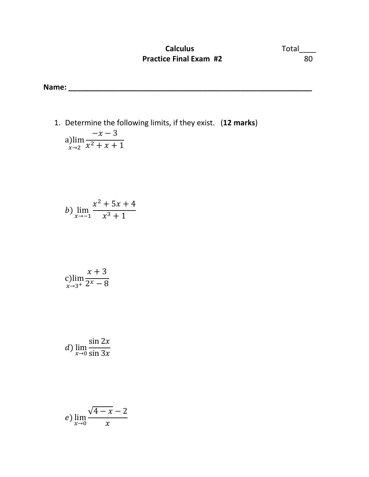## **Calculus** Total\_\_\_\_ **Practice Final Exam #2** 80

**Name: \_\_\_\_\_\_\_\_\_\_\_\_\_\_\_\_\_\_\_\_\_\_\_\_\_\_\_\_\_\_\_\_\_\_\_\_\_\_\_\_\_\_\_\_\_\_\_\_\_\_\_\_\_\_\_\_\_\_** 

1. Determine the following limits, if they exist. (**12 marks**) a)lim  $x\rightarrow 2$  $-x-3$  $x^2 + x + 1$ 

b) 
$$
\lim_{x \to -1} \frac{x^2 + 5x + 4}{x^3 + 1}
$$

$$
\displaystyle \lim_{x\to 3^+}\frac{x+3}{2^x-8}
$$

d) 
$$
\lim_{x \to 0} \frac{\sin 2x}{\sin 3x}
$$

$$
e) \lim_{x \to 0} \frac{\sqrt{4-x} - 2}{x}
$$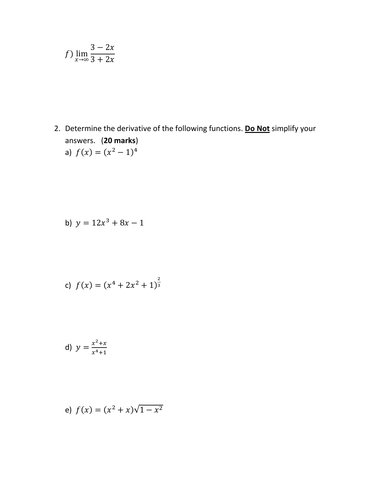$$
f) \lim_{x \to \infty} \frac{3 - 2x}{3 + 2x}
$$

2. Determine the derivative of the following functions. Do Not simplify your answers. (20 marks) a)  $f(x) = (x^2 - 1)^4$ 

b) 
$$
y = 12x^3 + 8x - 1
$$

c) 
$$
f(x) = (x^4 + 2x^2 + 1)^{\frac{2}{3}}
$$

d) 
$$
y = \frac{x^2 + x}{x^4 + 1}
$$

e) 
$$
f(x) = (x^2 + x)\sqrt{1 - x^2}
$$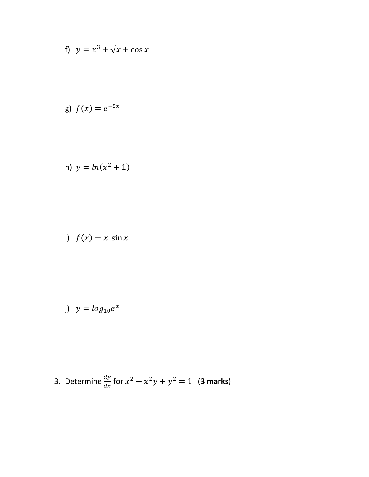f) 
$$
y = x^3 + \sqrt{x} + \cos x
$$

g) 
$$
f(x) = e^{-5x}
$$

h) 
$$
y = ln(x^2 + 1)
$$

i) 
$$
f(x) = x \sin x
$$

j) 
$$
y = log_{10}e^x
$$

3. Determine 
$$
\frac{dy}{dx}
$$
 for  $x^2 - x^2y + y^2 = 1$  (3 marks)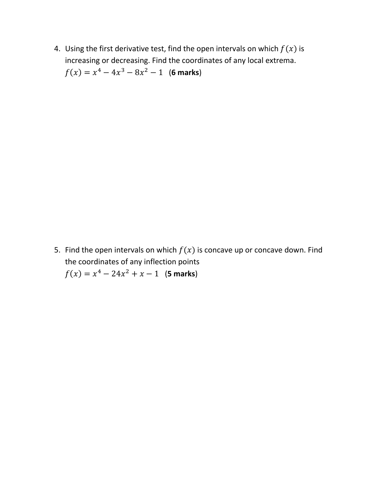4. Using the first derivative test, find the open intervals on which  $f(x)$  is increasing or decreasing. Find the coordinates of any local extrema.  $f(x) = x^4 - 4x^3 - 8x^2 - 1$  (6 marks)

5. Find the open intervals on which  $f(x)$  is concave up or concave down. Find the coordinates of any inflection points  $f(x) = x^4 - 24x^2 + x - 1$  (**5 marks**)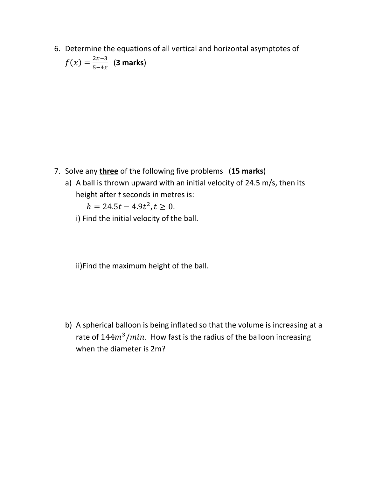6. Determine the equations of all vertical and horizontal asymptotes of  $f(x) = \frac{2x-3}{5-4x}$  $rac{2x-5}{5-4x}$  (**3 marks**)

- 7. Solve any **three** of the following five problems (**15 marks**)
	- a) A ball is thrown upward with an initial velocity of 24.5 m/s, then its height after *t* seconds in metres is:

 $h = 24.5t - 4.9t^2, t \ge 0.$ 

i) Find the initial velocity of the ball.

ii)Find the maximum height of the ball.

b) A spherical balloon is being inflated so that the volume is increasing at a rate of  $144m^3/min$ . How fast is the radius of the balloon increasing when the diameter is 2m?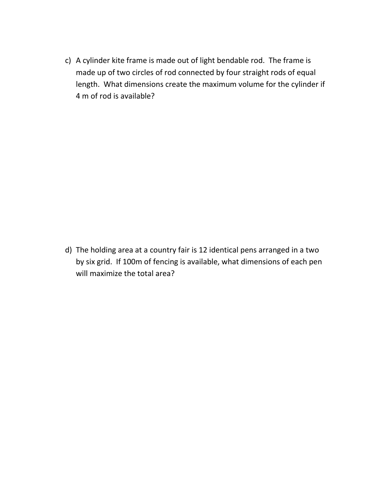c) A cylinder kite frame is made out of light bendable rod. The frame is made up of two circles of rod connected by four straight rods of equal length. What dimensions create the maximum volume for the cylinder if 4 m of rod is available?

d) The holding area at a country fair is 12 identical pens arranged in a two by six grid. If 100m of fencing is available, what dimensions of each pen will maximize the total area?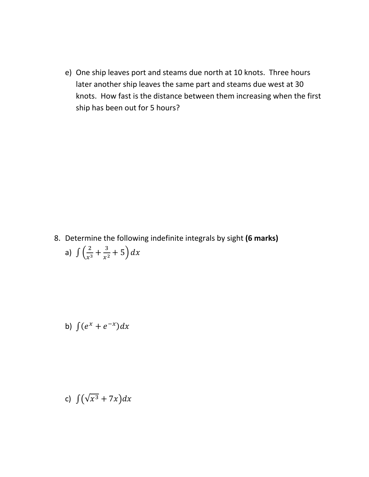e) One ship leaves port and steams due north at 10 knots. Three hours later another ship leaves the same part and steams due west at 30 knots. How fast is the distance between them increasing when the first ship has been out for 5 hours?

8. Determine the following indefinite integrals by sight **(6 marks)** a)  $\int \left(\frac{2}{r^3}\right)$  $rac{2}{x^3} + \frac{3}{x^2}$  $\frac{3}{x^2}+5\big)dx$ 

b) 
$$
\int (e^x + e^{-x}) dx
$$

c) 
$$
\int (\sqrt{x^3} + 7x) dx
$$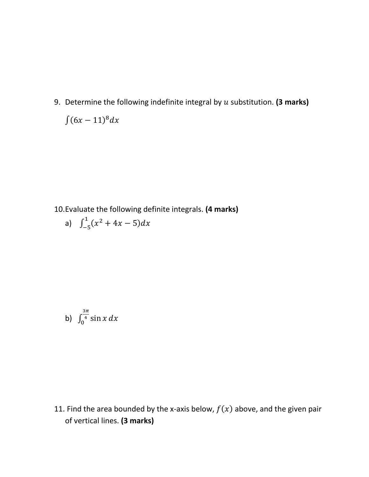9. Determine the following indefinite integral by  $u$  substitution. (3 marks)  $\int (6x-11)^8 dx$ 

10.Evaluate the following definite integrals. **(4 marks)**

a) 
$$
\int_{-5}^{1} (x^2 + 4x - 5) dx
$$

b) 
$$
\int_0^{\frac{3\pi}{4}} \sin x \, dx
$$

11. Find the area bounded by the x-axis below,  $f(x)$  above, and the given pair of vertical lines. **(3 marks)**